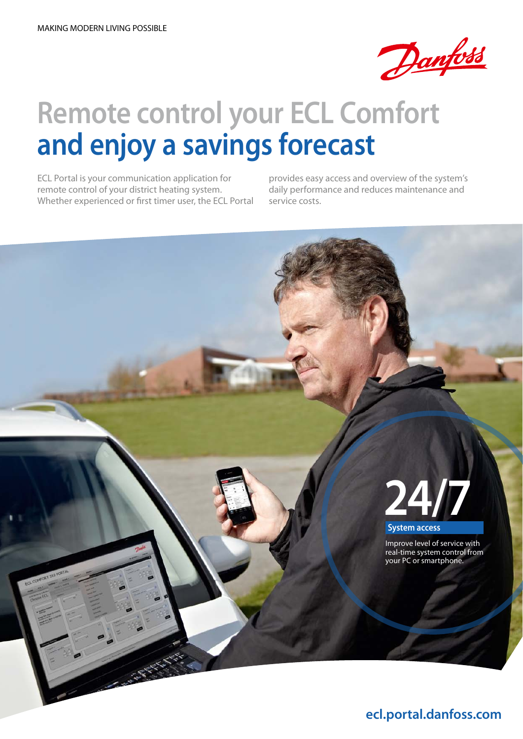

### **Remote control your ECL Comfort and enjoy a savings forecast**

ECL Portal is your communication application for remote control of your district heating system. Whether experienced or first timer user, the ECL Portal provides easy access and overview of the system's daily performance and reduces maintenance and service costs.

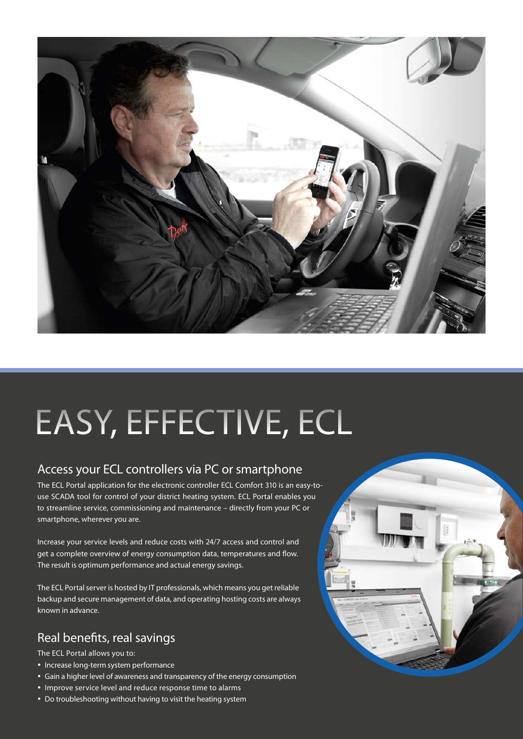

## easy, Effective, ECL

#### Access your ECL controllers via PC or smartphone

The ECL Portal application for the electronic controller ECL Comfort 310 is an easy-touse SCADA tool for control of your district heating system. ECL Portal enables you to streamline service, commissioning and maintenance – directly from your PC or smartphone, wherever you are.

Increase your service levels and reduce costs with 24/7 access and control and get a complete overview of energy consumption data, temperatures and flow. The result is optimum performance and actual energy savings.

The ECL Portal server is hosted by IT professionals, which means you get reliable backup and secure management of data, and operating hosting costs are always known in advance.

#### Real benefits, real savings

The ECL Portal allows you to:

- Increase long-term system performance
- Gain a higher level of awareness and transparency of the energy consumption
- Improve service level and reduce response time to alarms
- Do troubleshooting without having to visit the heating system

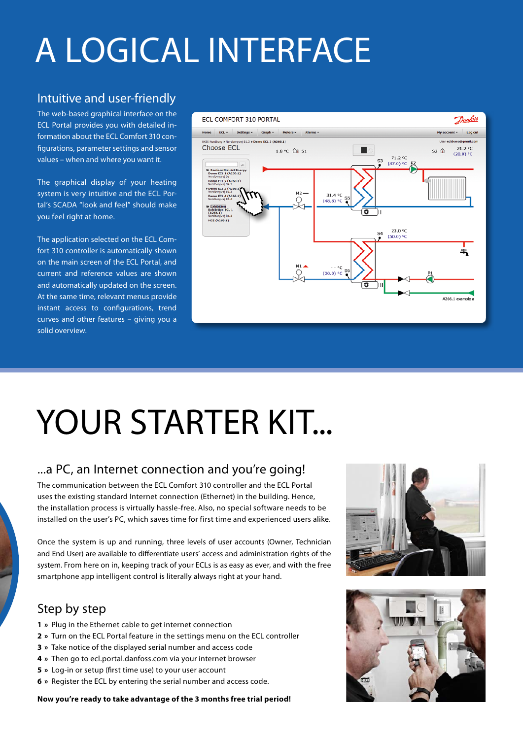## A logical interface

#### Intuitive and user-friendly

The web-based graphical interface on the ECL Portal provides you with detailed information about the ECL Comfort 310 configurations, parameter settings and sensor values – when and where you want it.

The graphical display of your heating system is very intuitive and the ECL Portal's SCADA "look and feel" should make you feel right at home.

The application selected on the ECL Comfort 310 controller is automatically shown on the main screen of the ECL Portal, and current and reference values are shown and automatically updated on the screen. At the same time, relevant menus provide instant access to configurations, trend curves and other features – giving you a solid overview.



# YOUR STARTER KIT...

#### ...a PC, an Internet connection and you're going!

The communication between the ECL Comfort 310 controller and the ECL Portal uses the existing standard Internet connection (Ethernet) in the building. Hence, the installation process is virtually hassle-free. Also, no special software needs to be installed on the user's PC, which saves time for first time and experienced users alike.

Once the system is up and running, three levels of user accounts (Owner, Technician and End User) are available to differentiate users' access and administration rights of the system. From here on in, keeping track of your ECLs is as easy as ever, and with the free smartphone app intelligent control is literally always right at your hand.

#### Step by step

- **1 »** Plug in the Ethernet cable to get internet connection
- **2 »** Turn on the ECL Portal feature in the settings menu on the ECL controller
- **3 »** Take notice of the displayed serial number and access code
- **4 »** Then go to ecl.portal.danfoss.com via your internet browser
- **5 »** Log-in or setup (first time use) to your user account
- **6 »** Register the ECL by entering the serial number and access code.

**Now you're ready to take advantage of the 3 months free trial period!**